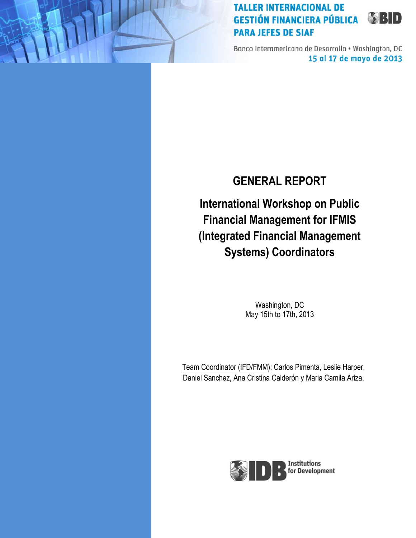Banco Interamericano de Desarrollo . Washington, DC 15 al 17 de mayo de 2013

# **GENERAL REPORT**

**International Workshop on Public Financial Management for IFMIS (Integrated Financial Management Systems) Coordinators**

> Washington, DC May 15th to 17th, 2013

Team Coordinator (IFD/FMM): Carlos Pimenta, Leslie Harper, Daniel Sanchez, Ana Cristina Calderón y Maria Camila Ariza.

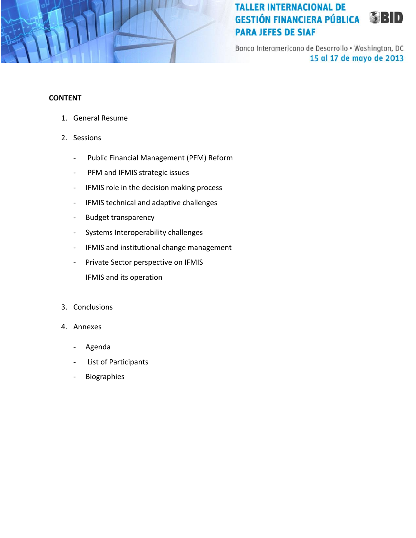

Banco Interamericano de Desarrollo . Washington, DC 15 al 17 de mayo de 2013

#### **CONTENT**

- 1. General Resume
- 2. Sessions
	- Public Financial Management (PFM) Reform
	- PFM and IFMIS strategic issues
	- IFMIS role in the decision making process
	- IFMIS technical and adaptive challenges
	- Budget transparency
	- Systems Interoperability challenges
	- IFMIS and institutional change management
	- Private Sector perspective on IFMIS
		- IFMIS and its operation
- 3. Conclusions
- 4. Annexes
	- Agenda
	- List of Participants
	- Biographies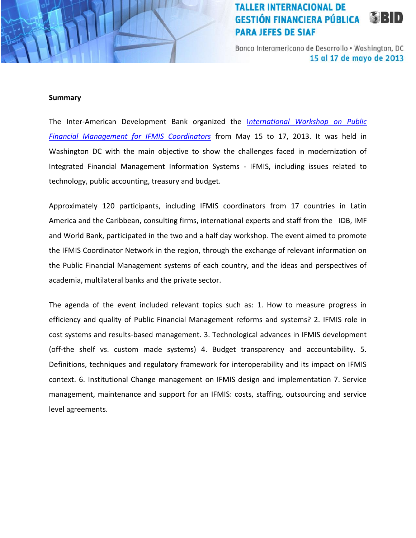Banco Interamericano de Desarrollo . Washington, DC 15 al 17 de mayo de 2013

#### **Summary**

The Inter-American Development Bank organized the I*[nternational Workshop on Public](http://events.iadb.org/calendar/eventDetail.aspx?lang=en&id=4065&SP=Y)  [Financial Management for IFMIS Coordinators](http://events.iadb.org/calendar/eventDetail.aspx?lang=en&id=4065&SP=Y)* from May 15 to 17, 2013. It was held in Washington DC with the main objective to show the challenges faced in modernization of Integrated Financial Management Information Systems - IFMIS, including issues related to technology, public accounting, treasury and budget.

Approximately 120 participants, including IFMIS coordinators from 17 countries in Latin America and the Caribbean, consulting firms, international experts and staff from the IDB, IMF and World Bank, participated in the two and a half day workshop. The event aimed to promote the IFMIS Coordinator Network in the region, through the exchange of relevant information on the Public Financial Management systems of each country, and the ideas and perspectives of academia, multilateral banks and the private sector.

The agenda of the event included relevant topics such as: 1. How to measure progress in efficiency and quality of Public Financial Management reforms and systems? 2. IFMIS role in cost systems and results-based management. 3. Technological advances in IFMIS development (off-the shelf vs. custom made systems) 4. Budget transparency and accountability. 5. Definitions, techniques and regulatory framework for interoperability and its impact on IFMIS context. 6. Institutional Change management on IFMIS design and implementation 7. Service management, maintenance and support for an IFMIS: costs, staffing, outsourcing and service level agreements.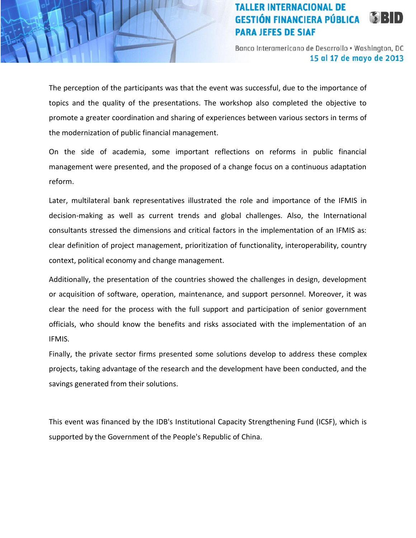Banco Interamericano de Desarrollo . Washington, DC 15 al 17 de mayo de 2013

The perception of the participants was that the event was successful, due to the importance of topics and the quality of the presentations. The workshop also completed the objective to promote a greater coordination and sharing of experiences between various sectors in terms of the modernization of public financial management.

On the side of academia, some important reflections on reforms in public financial management were presented, and the proposed of a change focus on a continuous adaptation reform.

Later, multilateral bank representatives illustrated the role and importance of the IFMIS in decision-making as well as current trends and global challenges. Also, the International consultants stressed the dimensions and critical factors in the implementation of an IFMIS as: clear definition of project management, prioritization of functionality, interoperability, country context, political economy and change management.

Additionally, the presentation of the countries showed the challenges in design, development or acquisition of software, operation, maintenance, and support personnel. Moreover, it was clear the need for the process with the full support and participation of senior government officials, who should know the benefits and risks associated with the implementation of an IFMIS.

Finally, the private sector firms presented some solutions develop to address these complex projects, taking advantage of the research and the development have been conducted, and the savings generated from their solutions.

This event was financed by the IDB's Institutional Capacity Strengthening Fund (ICSF), which is supported by the Government of the People's Republic of China.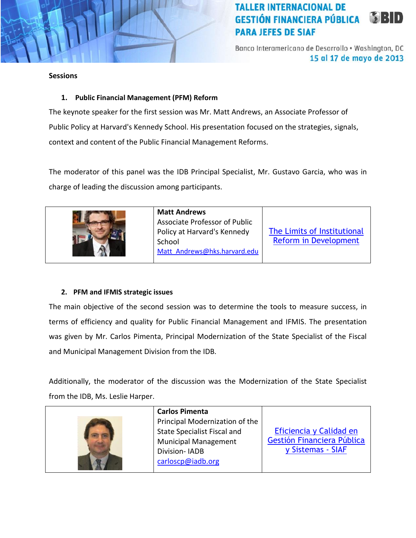Banco Interamericano de Desarrollo . Washington, DC 15 al 17 de mayo de 2013

#### **Sessions**

### **1. Public Financial Management (PFM) Reform**

The keynote speaker for the first session was Mr. Matt Andrews, an Associate Professor of Public Policy at Harvard's Kennedy School. His presentation focused on the strategies, signals, context and content of the Public Financial Management Reforms.

The moderator of this panel was the IDB Principal Specialist, Mr. Gustavo Garcia, who was in charge of leading the discussion among participants.



#### **Matt Andrews**  Associate Professor of Public

Policy at Harvard's Kennedy School Matt Andrews@hks.harvard.edu [The Limits of Institutional](http://idbdocs.iadb.org/WSDocs/getDocument.aspx?DOCNUM=37771518)  [Reform in Development](http://idbdocs.iadb.org/WSDocs/getDocument.aspx?DOCNUM=37771518)

### **2. PFM and IFMIS strategic issues**

The main objective of the second session was to determine the tools to measure success, in terms of efficiency and quality for Public Financial Management and IFMIS. The presentation was given by Mr. Carlos Pimenta, Principal Modernization of the State Specialist of the Fiscal and Municipal Management Division from the IDB.

Additionally, the moderator of the discussion was the Modernization of the State Specialist from the IDB, Ms. Leslie Harper.

| <b>Carlos Pimenta</b>                                                                                                                     |                                                                            |
|-------------------------------------------------------------------------------------------------------------------------------------------|----------------------------------------------------------------------------|
| Principal Modernization of the<br><b>State Specialist Fiscal and</b><br><b>Municipal Management</b><br>Division-IADB<br>carloscp@iadb.org | Eficiencia y Calidad en<br>Gestión Financiera Pública<br>y Sistemas - SIAF |
|                                                                                                                                           |                                                                            |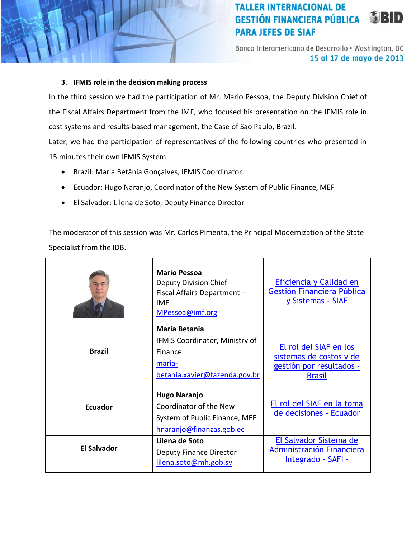Banco Interamericano de Desarrollo . Washington, DC 15 al 17 de mayo de 2013

#### **3. IFMIS role in the decision making process**

In the third session we had the participation of Mr. Mario Pessoa, the Deputy Division Chief of the Fiscal Affairs Department from the IMF, who focused his presentation on the IFMIS role in cost systems and results-based management, the Case of Sao Paulo, Brazil.

Later, we had the participation of representatives of the following countries who presented in 15 minutes their own IFMIS System:

- Brazil: Maria Betânia Gonçalves, IFMIS Coordinator
- Ecuador: Hugo Naranjo, Coordinator of the New System of Public Finance, MEF
- El Salvador: Lilena de Soto, Deputy Finance Director

The moderator of this session was Mr. Carlos Pimenta, the Principal Modernization of the State Specialist from the IDB.

|                    | <b>Mario Pessoa</b><br>Deputy Division Chief<br>Fiscal Affairs Department -<br><b>IMF</b><br>MPessoa@imf.org | Eficiencia y Calidad en<br>Gestión Financiera Pública<br>y Sistemas - SIAF                     |
|--------------------|--------------------------------------------------------------------------------------------------------------|------------------------------------------------------------------------------------------------|
| <b>Brazil</b>      | <b>Maria Betania</b><br>IFMIS Coordinator, Ministry of<br>Finance<br>maria-<br>betania.xavier@fazenda.gov.br | El rol del SIAF en los<br>sistemas de costos y de<br>gestión por resultados -<br><b>Brasil</b> |
| <b>Ecuador</b>     | <b>Hugo Naranjo</b><br>Coordinator of the New<br>System of Public Finance, MEF<br>hnaranjo@finanzas.gob.ec   | El rol del SIAF en la toma<br>de decisiones - Ecuador                                          |
| <b>El Salvador</b> | Lilena de Soto<br><b>Deputy Finance Director</b><br>lilena.soto@mh.gob.sv                                    | El Salvador Sistema de<br>Administración Financiera<br>Integrado - SAFI -                      |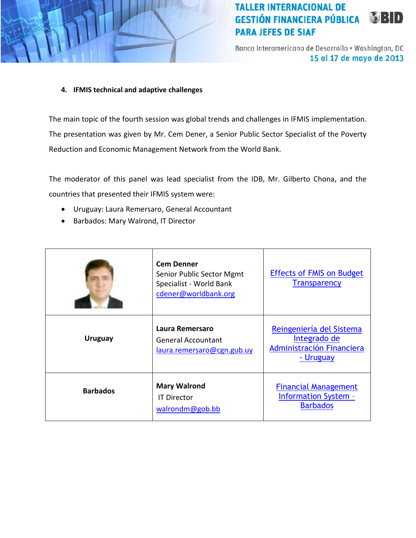

Banco Interamericano de Desarrollo . Washington, DC 15 al 17 de mayo de 2013

#### **4. IFMIS technical and adaptive challenges**

The main topic of the fourth session was global trends and challenges in IFMIS implementation. The presentation was given by Mr. Cem Dener, a Senior Public Sector Specialist of the Poverty Reduction and Economic Management Network from the World Bank.

The moderator of this panel was lead specialist from the IDB, Mr. Gilberto Chona, and the countries that presented their IFMIS system were:

- Uruguay: Laura Remersaro, General Accountant
- Barbados: Mary Walrond, IT Director

|                 | <b>Cem Denner</b><br>Senior Public Sector Mgmt<br>Specialist - World Bank<br>cdener@worldbank.org | <b>Effects of FMIS on Budget</b><br><b>Transparency</b>                            |
|-----------------|---------------------------------------------------------------------------------------------------|------------------------------------------------------------------------------------|
| <b>Uruguay</b>  | Laura Remersaro<br><b>General Accountant</b><br>laura.remersaro@cgn.gub.uy                        | Reingeniería del Sistema<br>Integrado de<br>Administración Financiera<br>- Uruguay |
| <b>Barbados</b> | <b>Mary Walrond</b><br><b>IT Director</b><br>walrondm@gob.bb                                      | <b>Financial Management</b><br><b>Information System -</b><br><b>Barbados</b>      |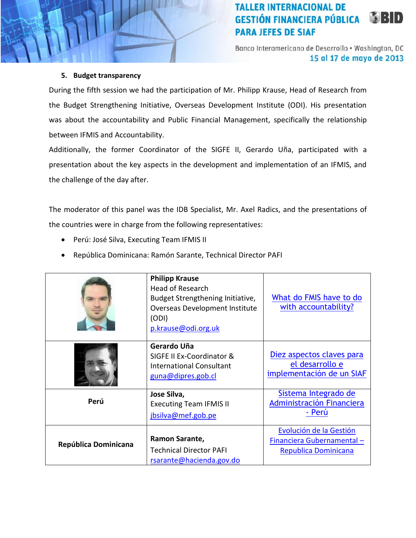Banco Interamericano de Desarrollo . Washington, DC 15 al 17 de mayo de 2013

#### **5. Budget transparency**

During the fifth session we had the participation of Mr. Philipp Krause, Head of Research from the Budget Strengthening Initiative, Overseas Development Institute (ODI). His presentation was about the accountability and Public Financial Management, specifically the relationship between IFMIS and Accountability.

Additionally, the former Coordinator of the SIGFE II, Gerardo Uña, participated with a presentation about the key aspects in the development and implementation of an IFMIS, and the challenge of the day after.

The moderator of this panel was the IDB Specialist, Mr. Axel Radics, and the presentations of the countries were in charge from the following representatives:

- Perú: José Silva, Executing Team IFMIS II
- República Dominicana: Ramón Sarante, Technical Director PAFI

|                      | <b>Philipp Krause</b><br><b>Head of Research</b><br>Budget Strengthening Initiative,<br>Overseas Development Institute<br>(ODI)<br>p.krause@odi.org.uk | What do FMIS have to do<br>with accountability?                                     |
|----------------------|--------------------------------------------------------------------------------------------------------------------------------------------------------|-------------------------------------------------------------------------------------|
|                      | Gerardo Uña<br>SIGFE II Ex-Coordinator &<br><b>International Consultant</b><br>guna@dipres.gob.cl                                                      | Diez aspectos claves para<br>el desarrollo e<br>implementación de un SIAF           |
| Perú                 | Jose Silva,<br><b>Executing Team IFMIS II</b><br>jbsilva@mef.gob.pe                                                                                    | Sistema Integrado de<br>Administración Financiera<br>- Perú                         |
| República Dominicana | Ramon Sarante,<br><b>Technical Director PAFI</b><br>rsarante@hacienda.gov.do                                                                           | Evolución de la Gestión<br>Financiera Gubernamental-<br><b>Republica Dominicana</b> |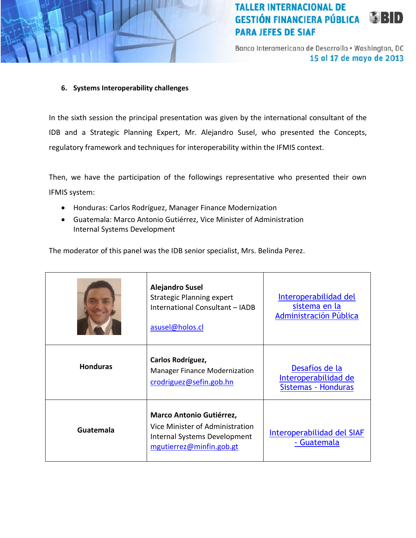Banco Interamericano de Desarrollo . Washington, DC 15 al 17 de mayo de 2013

### **6. Systems Interoperability challenges**

In the sixth session the principal presentation was given by the international consultant of the IDB and a Strategic Planning Expert, Mr. Alejandro Susel, who presented the Concepts, regulatory framework and techniques for interoperability within the IFMIS context.

Then, we have the participation of the followings representative who presented their own IFMIS system:

- Honduras: Carlos Rodríguez, Manager Finance Modernization
- Guatemala: Marco Antonio Gutiérrez, Vice Minister of Administration Internal Systems Development

The moderator of this panel was the IDB senior specialist, Mrs. Belinda Perez.

|                  | <b>Alejandro Susel</b><br><b>Strategic Planning expert</b><br>International Consultant - IADB<br>asusel@holos.cl        | Interoperabilidad del<br>sistema en la<br>Administración Pública |
|------------------|-------------------------------------------------------------------------------------------------------------------------|------------------------------------------------------------------|
| <b>Honduras</b>  | Carlos Rodríguez,<br><b>Manager Finance Modernization</b><br>crodriguez@sefin.gob.hn                                    | Desafíos de la<br>Interoperabilidad de<br>Sistemas - Honduras    |
| <b>Guatemala</b> | Marco Antonio Gutiérrez,<br>Vice Minister of Administration<br>Internal Systems Development<br>mgutierrez@minfin.gob.gt | Interoperabilidad del SIAF<br>- Guatemala                        |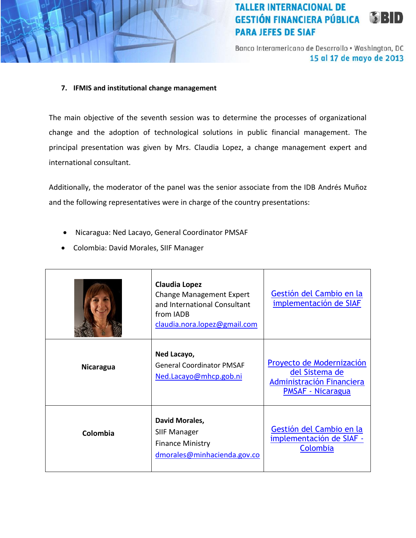

Banco Interamericano de Desarrollo . Washington, DC 15 al 17 de mayo de 2013

#### **7. IFMIS and institutional change management**

The main objective of the seventh session was to determine the processes of organizational change and the adoption of technological solutions in public financial management. The principal presentation was given by Mrs. Claudia Lopez, a change management expert and international consultant.

Additionally, the moderator of the panel was the senior associate from the IDB Andrés Muñoz and the following representatives were in charge of the country presentations:

- Nicaragua: Ned Lacayo, General Coordinator PMSAF
- Colombia: David Morales, SIIF Manager

|                  | Claudia Lopez<br><b>Change Management Expert</b><br>and International Consultant<br>from IADB<br>claudia.nora.lopez@gmail.com | Gestión del Cambio en la<br>implementación de SIAF                                                   |
|------------------|-------------------------------------------------------------------------------------------------------------------------------|------------------------------------------------------------------------------------------------------|
| <b>Nicaragua</b> | Ned Lacayo,<br><b>General Coordinator PMSAF</b><br>Ned.Lacayo@mhcp.gob.ni                                                     | Proyecto de Modernización<br>del Sistema de<br>Administración Financiera<br><b>PMSAF - Nicaragua</b> |
| Colombia         | David Morales,<br><b>SIIF Manager</b><br><b>Finance Ministry</b><br>dmorales@minhacienda.gov.co                               | Gestión del Cambio en la<br>implementación de SIAF -<br>Colombia                                     |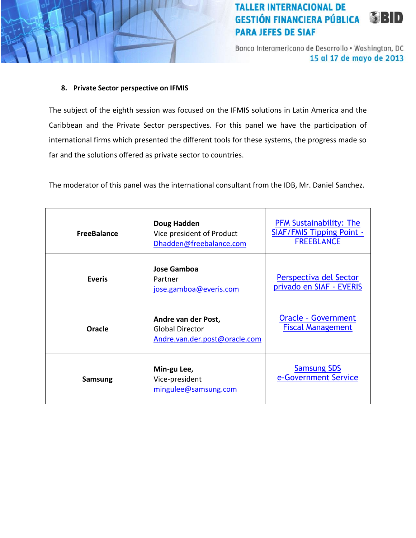Banco Interamericano de Desarrollo . Washington, DC 15 al 17 de mayo de 2013

#### **8. Private Sector perspective on IFMIS**

The subject of the eighth session was focused on the IFMIS solutions in Latin America and the Caribbean and the Private Sector perspectives. For this panel we have the participation of international firms which presented the different tools for these systems, the progress made so far and the solutions offered as private sector to countries.

The moderator of this panel was the international consultant from the IDB, Mr. Daniel Sanchez.

| <b>FreeBalance</b> | Doug Hadden<br>Vice president of Product<br>Dhadden@freebalance.com            | <b>PFM Sustainability: The</b><br><b>SIAF/FMIS Tipping Point -</b><br><b>FREEBLANCE</b> |
|--------------------|--------------------------------------------------------------------------------|-----------------------------------------------------------------------------------------|
| <b>Everis</b>      | <b>Jose Gamboa</b><br>Partner<br>jose.gamboa@everis.com                        | Perspectiva del Sector<br>privado en SIAF - EVERIS                                      |
| Oracle             | Andre van der Post,<br><b>Global Director</b><br>Andre.van.der.post@oracle.com | <b>Oracle - Government</b><br><b>Fiscal Management</b>                                  |
| <b>Samsung</b>     | Min-gu Lee,<br>Vice-president<br>mingulee@samsung.com                          | <b>Samsung SDS</b><br>e-Government Service                                              |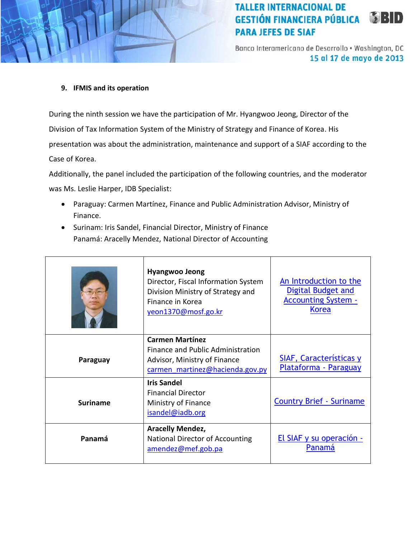Banco Interamericano de Desarrollo . Washington, DC 15 al 17 de mayo de 2013

#### **9. IFMIS and its operation**

During the ninth session we have the participation of Mr. Hyangwoo Jeong, Director of the Division of Tax Information System of the Ministry of Strategy and Finance of Korea. His presentation was about the administration, maintenance and support of a SIAF according to the Case of Korea.

Additionally, the panel included the participation of the following countries, and the moderator was Ms. Leslie Harper, IDB Specialist:

- Paraguay: Carmen Martínez, Finance and Public Administration Advisor, Ministry of Finance.
- Surinam: Iris Sandel, Financial Director, Ministry of Finance Panamá: Aracelly Mendez, National Director of Accounting

|                 | <b>Hyangwoo Jeong</b><br>Director, Fiscal Information System<br>Division Ministry of Strategy and<br>Finance in Korea<br>yeon1370@mosf.go.kr | An Introduction to the<br><b>Digital Budget and</b><br><b>Accounting System -</b><br><b>Korea</b> |
|-----------------|----------------------------------------------------------------------------------------------------------------------------------------------|---------------------------------------------------------------------------------------------------|
| Paraguay        | <b>Carmen Martínez</b><br>Finance and Public Administration<br>Advisor, Ministry of Finance<br>carmen martinez@hacienda.gov.py               | SIAF, Características y<br>Plataforma - Paraguay                                                  |
| <b>Suriname</b> | <b>Iris Sandel</b><br><b>Financial Director</b><br>Ministry of Finance<br>isandel@iadb.org                                                   | <b>Country Brief - Suriname</b>                                                                   |
| Panamá          | <b>Aracelly Mendez,</b><br>National Director of Accounting<br>amendez@mef.gob.pa                                                             | <u>El SIAF y su operación -</u><br>Panamá                                                         |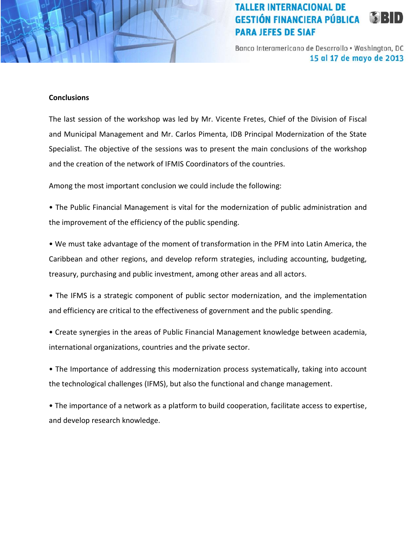Banco Interamericano de Desarrollo . Washington, DC 15 al 17 de mayo de 2013

#### **Conclusions**

The last session of the workshop was led by Mr. Vicente Fretes, Chief of the Division of Fiscal and Municipal Management and Mr. Carlos Pimenta, IDB Principal Modernization of the State Specialist. The objective of the sessions was to present the main conclusions of the workshop and the creation of the network of IFMIS Coordinators of the countries.

Among the most important conclusion we could include the following:

• The Public Financial Management is vital for the modernization of public administration and the improvement of the efficiency of the public spending.

• We must take advantage of the moment of transformation in the PFM into Latin America, the Caribbean and other regions, and develop reform strategies, including accounting, budgeting, treasury, purchasing and public investment, among other areas and all actors.

• The IFMS is a strategic component of public sector modernization, and the implementation and efficiency are critical to the effectiveness of government and the public spending.

• Create synergies in the areas of Public Financial Management knowledge between academia, international organizations, countries and the private sector.

• The Importance of addressing this modernization process systematically, taking into account the technological challenges (IFMS), but also the functional and change management.

• The importance of a network as a platform to build cooperation, facilitate access to expertise, and develop research knowledge.